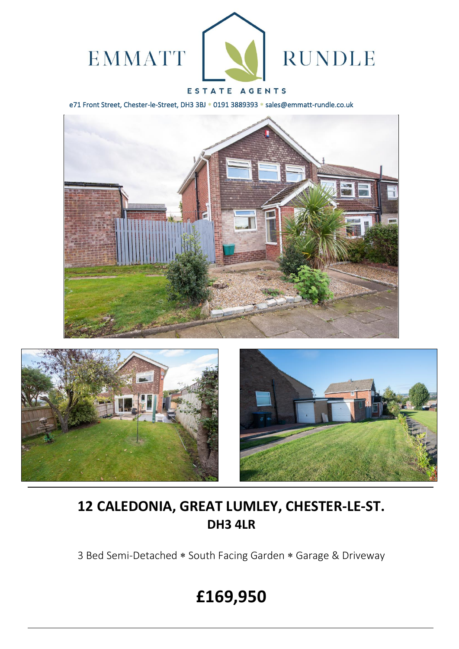

# ESTATE AGENTS

e71 Front Street, Chester-le-Street, DH3 3BJ \* 0191 3889393 \* sales@emmatt-rundle.co.uk







# **12 CALEDONIA, GREAT LUMLEY, CHESTER-LE-ST. DH3 4LR**

3 Bed Semi-Detached \* South Facing Garden \* Garage & Driveway

# **£169,950**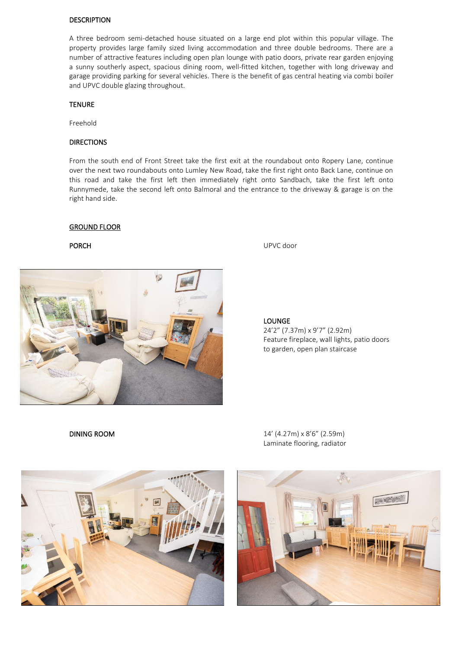#### DESCRIPTION

A three bedroom semi-detached house situated on a large end plot within this popular village. The property provides large family sized living accommodation and three double bedrooms. There are a number of attractive features including open plan lounge with patio doors, private rear garden enjoying a sunny southerly aspect, spacious dining room, well-fitted kitchen, together with long driveway and garage providing parking for several vehicles. There is the benefit of gas central heating via combi boiler and UPVC double glazing throughout.

#### **TENURE**

Freehold

## DIRECTIONS

From the south end of Front Street take the first exit at the roundabout onto Ropery Lane, continue over the next two roundabouts onto Lumley New Road, take the first right onto Back Lane, continue on this road and take the first left then immediately right onto Sandbach, take the first left onto Runnymede, take the second left onto Balmoral and the entrance to the driveway & garage is on the right hand side.

#### GROUND FLOOR



PORCH UPVC door

LOUNGE 24'2" (7.37m) x 9'7" (2.92m) Feature fireplace, wall lights, patio doors to garden, open plan staircase



DINING ROOM 14' (4.27m) x 8'6" (2.59m) Laminate flooring, radiator

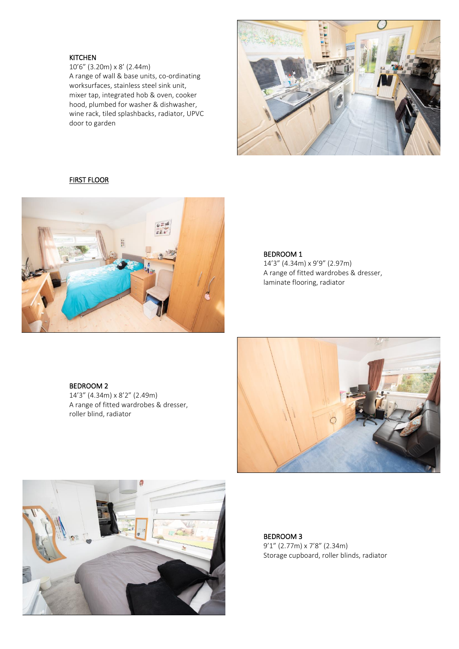# KITCHEN

10'6" (3.20m) x 8' (2.44m) A range of wall & base units, co-ordinating worksurfaces, stainless steel sink unit, mixer tap, integrated hob & oven, cooker hood, plumbed for washer & dishwasher, wine rack, tiled splashbacks, radiator, UPVC door to garden



# FIRST FLOOR



### BEDROOM 1

14'3" (4.34m) x 9'9" (2.97m) A range of fitted wardrobes & dresser, laminate flooring, radiator

# BEDROOM 2

14'3" (4.34m) x 8'2" (2.49m) A range of fitted wardrobes & dresser, roller blind, radiator





BEDROOM 3 9'1" (2.77m) x 7'8" (2.34m) Storage cupboard, roller blinds, radiator